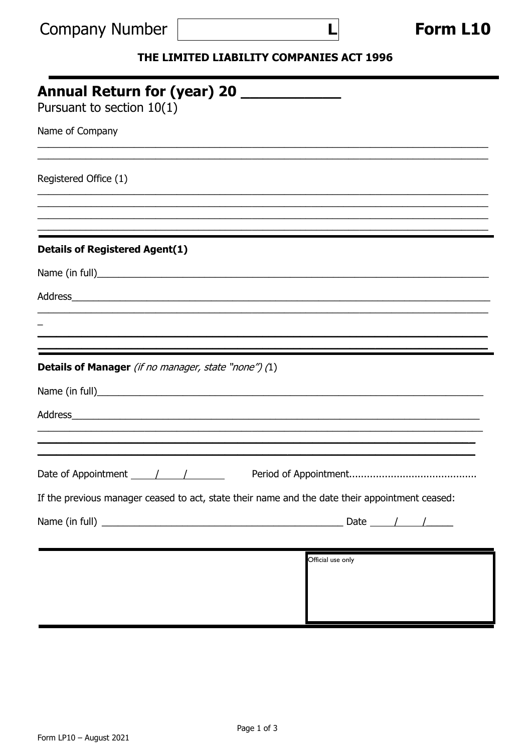| <b>Company Number</b> |  |
|-----------------------|--|
|-----------------------|--|

|--|

## THE LIMITED LIABILITY COMPANIES ACT 1996

 $\overline{\mathbf{I}}$ 

| <b>Annual Return for (year) 20</b>                   |                                                                                                                                                                                                                                |
|------------------------------------------------------|--------------------------------------------------------------------------------------------------------------------------------------------------------------------------------------------------------------------------------|
| Pursuant to section $10(1)$                          |                                                                                                                                                                                                                                |
| Name of Company                                      |                                                                                                                                                                                                                                |
| Registered Office (1)                                |                                                                                                                                                                                                                                |
|                                                      |                                                                                                                                                                                                                                |
| <b>Details of Registered Agent(1)</b>                |                                                                                                                                                                                                                                |
|                                                      |                                                                                                                                                                                                                                |
|                                                      | Address and the contract of the contract of the contract of the contract of the contract of the contract of the contract of the contract of the contract of the contract of the contract of the contract of the contract of th |
|                                                      |                                                                                                                                                                                                                                |
| Details of Manager (if no manager, state "none") (1) |                                                                                                                                                                                                                                |
|                                                      |                                                                                                                                                                                                                                |
|                                                      |                                                                                                                                                                                                                                |
|                                                      |                                                                                                                                                                                                                                |
|                                                      | If the previous manager ceased to act, state their name and the date their appointment ceased:                                                                                                                                 |
|                                                      |                                                                                                                                                                                                                                |
|                                                      | Official use only                                                                                                                                                                                                              |
|                                                      |                                                                                                                                                                                                                                |
|                                                      |                                                                                                                                                                                                                                |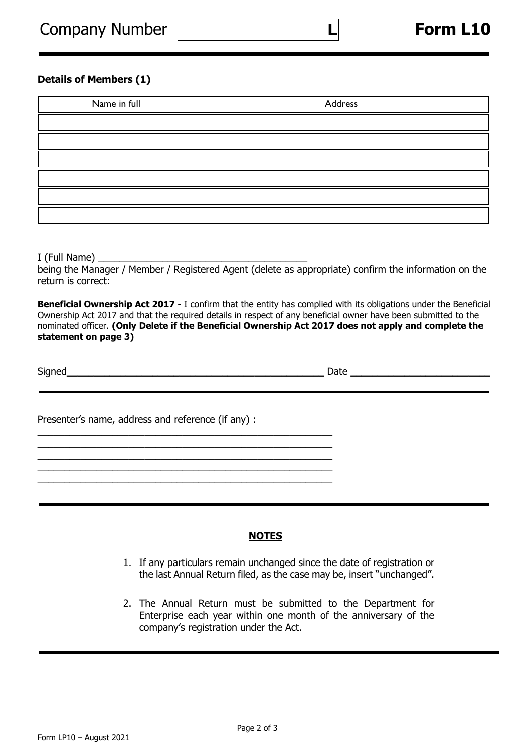## **Details of Members (1)**

| Name in full | Address |
|--------------|---------|
|              |         |
|              |         |
|              |         |
|              |         |
|              |         |
|              |         |

 **L**

 $I$  (Full Name)  $\_\_$ 

being the Manager / Member / Registered Agent (delete as appropriate) confirm the information on the return is correct:

**Beneficial Ownership Act 2017 -** I confirm that the entity has complied with its obligations under the Beneficial Ownership Act 2017 and that the required details in respect of any beneficial owner have been submitted to the nominated officer. **(Only Delete if the Beneficial Ownership Act 2017 does not apply and complete the statement on page 3)**

Signed\_\_\_\_\_\_\_\_\_\_\_\_\_\_\_\_\_\_\_\_\_\_\_\_\_\_\_\_\_\_\_\_\_\_\_\_\_\_\_\_\_\_\_\_\_\_\_\_ Date \_\_\_\_\_\_\_\_\_\_\_\_\_\_\_\_\_\_\_\_\_\_\_\_\_\_

j

Presenter's name, address and reference (if any) :

\_\_\_\_\_\_\_\_\_\_\_\_\_\_\_\_\_\_\_\_\_\_\_\_\_\_\_\_\_\_\_\_\_\_\_\_\_\_\_\_\_\_\_\_\_\_\_\_\_\_\_\_\_\_\_ \_\_\_\_\_\_\_\_\_\_\_\_\_\_\_\_\_\_\_\_\_\_\_\_\_\_\_\_\_\_\_\_\_\_\_\_\_\_\_\_\_\_\_\_\_\_\_\_\_\_\_\_\_\_\_

\_\_\_\_\_\_\_\_\_\_\_\_\_\_\_\_\_\_\_\_\_\_\_\_\_\_\_\_\_\_\_\_\_\_\_\_\_\_\_\_\_\_\_\_\_\_\_\_\_\_\_\_\_\_\_ \_\_\_\_\_\_\_\_\_\_\_\_\_\_\_\_\_\_\_\_\_\_\_\_\_\_\_\_\_\_\_\_\_\_\_\_\_\_\_\_\_\_\_\_\_\_\_\_\_\_\_\_\_\_\_

## **NOTES**

- 1. If any particulars remain unchanged since the date of registration or the last Annual Return filed, as the case may be, insert "unchanged".
- 2. The Annual Return must be submitted to the Department for Enterprise each year within one month of the anniversary of the company's registration under the Act.